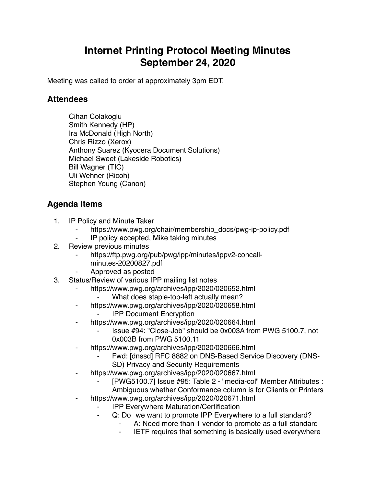## **Internet Printing Protocol Meeting Minutes September 24, 2020**

Meeting was called to order at approximately 3pm EDT.

## **Attendees**

Cihan Colakoglu Smith Kennedy (HP) Ira McDonald (High North) Chris Rizzo (Xerox) Anthony Suarez (Kyocera Document Solutions) Michael Sweet (Lakeside Robotics) Bill Wagner (TIC) Uli Wehner (Ricoh) Stephen Young (Canon)

## **Agenda Items**

- 1. IP Policy and Minute Taker
	- https://www.pwg.org/chair/membership\_docs/pwg-ip-policy.pdf
	- ⁃ IP policy accepted, Mike taking minutes
- 2. Review previous minutes
	- https://ftp.pwg.org/pub/pwg/ipp/minutes/ippv2-concall
		- minutes-20200827.pdf
	- ⁃ Approved as posted
- 3. Status/Review of various IPP mailing list notes
	- https://www.pwg.org/archives/ipp/2020/020652.html
		- What does staple-top-left actually mean?
	- ⁃ https://www.pwg.org/archives/ipp/2020/020658.html
		- **IPP Document Encryption**
	- ⁃ https://www.pwg.org/archives/ipp/2020/020664.html
		- ⁃ Issue #94: "Close-Job" should be 0x003A from PWG 5100.7, not 0x003B from PWG 5100.11
	- ⁃ https://www.pwg.org/archives/ipp/2020/020666.html
		- Fwd: [dnssd] RFC 8882 on DNS-Based Service Discovery (DNS-SD) Privacy and Security Requirements
	- https://www.pwg.org/archives/ipp/2020/020667.html
		- [PWG5100.7] Issue #95: Table 2 "media-col" Member Attributes : Ambiguous whether Conformance column is for Clients or Printers
	- https://www.pwg.org/archives/ipp/2020/020671.html
		- **IPP Everywhere Maturation/Certification** 
			- Q: Do we want to promote IPP Everywhere to a full standard?
				- A: Need more than 1 vendor to promote as a full standard
				- ⁃ IETF requires that something is basically used everywhere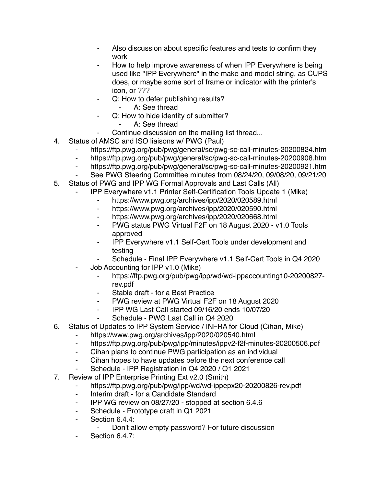- Also discussion about specific features and tests to confirm they work
- How to help improve awareness of when IPP Everywhere is being used like "IPP Everywhere" in the make and model string, as CUPS does, or maybe some sort of frame or indicator with the printer's icon, or ???
- Q: How to defer publishing results?
	- ⁃ A: See thread
- Q: How to hide identity of submitter?
	- ⁃ A: See thread
- Continue discussion on the mailing list thread...
- 4. Status of AMSC and ISO liaisons w/ PWG (Paul)
	- ⁃ https://ftp.pwg.org/pub/pwg/general/sc/pwg-sc-call-minutes-20200824.htm
	- ⁃ https://ftp.pwg.org/pub/pwg/general/sc/pwg-sc-call-minutes-20200908.htm
	- ⁃ https://ftp.pwg.org/pub/pwg/general/sc/pwg-sc-call-minutes-20200921.htm
	- See PWG Steering Committee minutes from 08/24/20, 09/08/20, 09/21/20
- 5. Status of PWG and IPP WG Formal Approvals and Last Calls (All)
	- ⁃ IPP Everywhere v1.1 Printer Self-Certification Tools Update 1 (Mike)
		- ⁃ https://www.pwg.org/archives/ipp/2020/020589.html
		- ⁃ https://www.pwg.org/archives/ipp/2020/020590.html
		- https://www.pwg.org/archives/ipp/2020/020668.html
		- ⁃ PWG status PWG Virtual F2F on 18 August 2020 v1.0 Tools approved
		- ⁃ IPP Everywhere v1.1 Self-Cert Tools under development and testing
		- Schedule Final IPP Everywhere v1.1 Self-Cert Tools in Q4 2020
	- Job Accounting for IPP v1.0 (Mike)
		- ⁃ https://ftp.pwg.org/pub/pwg/ipp/wd/wd-ippaccounting10-20200827 rev.pdf
		- ⁃ Stable draft for a Best Practice
		- PWG review at PWG Virtual F2F on 18 August 2020
		- ⁃ IPP WG Last Call started 09/16/20 ends 10/07/20
			- Schedule PWG Last Call in Q4 2020
- 6. Status of Updates to IPP System Service / INFRA for Cloud (Cihan, Mike)
	- ⁃ https://www.pwg.org/archives/ipp/2020/020540.html
	- ⁃ https://ftp.pwg.org/pub/pwg/ipp/minutes/ippv2-f2f-minutes-20200506.pdf
	- ⁃ Cihan plans to continue PWG participation as an individual
	- Cihan hopes to have updates before the next conference call
	- Schedule IPP Registration in Q4 2020 / Q1 2021
- 7. Review of IPP Enterprise Printing Ext v2.0 (Smith)
	- ⁃ https://ftp.pwg.org/pub/pwg/ipp/wd/wd-ippepx20-20200826-rev.pdf
	- ⁃ Interim draft for a Candidate Standard
	- IPP WG review on 08/27/20 stopped at section 6.4.6
	- Schedule Prototype draft in Q1 2021
	- ⁃ Section 6.4.4:
		- Don't allow empty password? For future discussion
	- Section 6.4.7: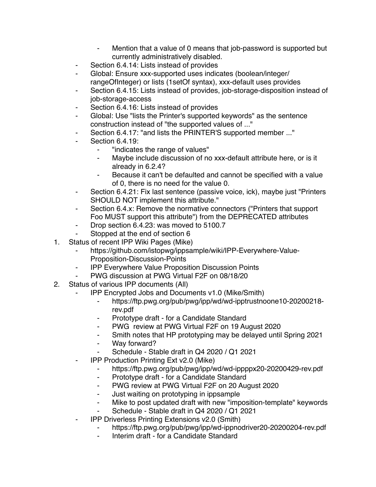- Mention that a value of 0 means that job-password is supported but currently administratively disabled.
- Section 6.4.14: Lists instead of provides
- Global: Ensure xxx-supported uses indicates (boolean/integer/ rangeOfInteger) or lists (1setOf syntax), xxx-default uses provides
- Section 6.4.15: Lists instead of provides, job-storage-disposition instead of job-storage-access
- Section 6.4.16: Lists instead of provides
- Global: Use "lists the Printer's supported keywords" as the sentence construction instead of "the supported values of ..."
- Section 6.4.17: "and lists the PRINTER'S supported member ..."
- **Section 6.4.19:** 
	- ⁃ "indicates the range of values"
	- Maybe include discussion of no xxx-default attribute here, or is it already in 6.2.4?
	- Because it can't be defaulted and cannot be specified with a value of 0, there is no need for the value 0.
- Section 6.4.21: Fix last sentence (passive voice, ick), maybe just "Printers SHOULD NOT implement this attribute."
- ⁃ Section 6.4.x: Remove the normative connectors ("Printers that support Foo MUST support this attribute") from the DEPRECATED attributes
- ⁃ Drop section 6.4.23: was moved to 5100.7
- Stopped at the end of section 6
- 1. Status of recent IPP Wiki Pages (Mike)
	- https://github.com/istopwg/ippsample/wiki/IPP-Everywhere-Value-Proposition-Discussion-Points
	- **IPP Everywhere Value Proposition Discussion Points**
	- PWG discussion at PWG Virtual F2F on 08/18/20
- 2. Status of various IPP documents (All)
	- ⁃ IPP Encrypted Jobs and Documents v1.0 (Mike/Smith)
		- ⁃ https://ftp.pwg.org/pub/pwg/ipp/wd/wd-ipptrustnoone10-20200218 rev.pdf
		- Prototype draft for a Candidate Standard
		- ⁃ PWG review at PWG Virtual F2F on 19 August 2020
		- ⁃ Smith notes that HP prototyping may be delayed until Spring 2021
		- Way forward?
		- Schedule Stable draft in Q4 2020 / Q1 2021
	- **IPP Production Printing Ext v2.0 (Mike)** 
		- ⁃ https://ftp.pwg.org/pub/pwg/ipp/wd/wd-ippppx20-20200429-rev.pdf
		- ⁃ Prototype draft for a Candidate Standard
		- ⁃ PWG review at PWG Virtual F2F on 20 August 2020
		- ⁃ Just waiting on prototyping in ippsample
		- Mike to post updated draft with new "imposition-template" keywords
		- Schedule Stable draft in Q4 2020 / Q1 2021
	- **IPP Driverless Printing Extensions v2.0 (Smith)** 
		- https://ftp.pwg.org/pub/pwg/ipp/wd-ippnodriver20-20200204-rev.pdf
		- Interim draft for a Candidate Standard